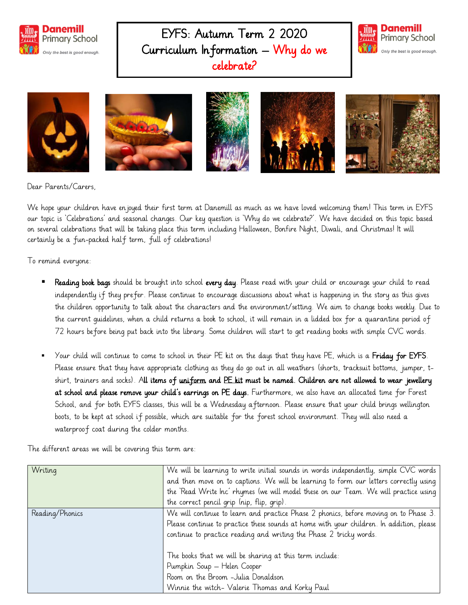

EYFS: Autumn Term 2 2020 Curriculum Information – Why do we celebrate?





Dear Parents/Carers,

We hope your children have enjoyed their first term at Danemill as much as we have loved welcoming them! This term in EYFS our topic is 'Celebrations' and seasonal changes. Our key question is 'Why do we celebrate?'. We have decided on this topic based on several celebrations that will be taking place this term including Halloween, Bonfire Night, Diwali, and Christmas! It will certainly be a fun-packed half term, full of celebrations!

To remind everyone:

- Reading book bags should be brought into school every day. Please read with your child or encourage your child to read independently if they prefer. Please continue to encourage discussions about what is happening in the story as this gives the children opportunity to talk about the characters and the environment/setting. We aim to change books weekly. Due to the current guidelines, when a child returns a book to school, it will remain in a lidded box for a quarantine period of 72 hours before being put back into the library. Some children will start to get reading books with simple CVC words.
- Your child will continue to come to school in their PE kit on the days that they have PE, which is a Friday for EYFS. Please ensure that they have appropriate clothing as they do go out in all weathers (shorts, tracksuit bottoms, jumper, tshirt, trainers and socks). All items of uniform and PE kit must be named. Children are not allowed to wear jewellery at school and please remove your child's earrings on PE days. Furthermore, we also have an allocated time for Forest School, and for both EYFS classes, this will be a Wednesday afternoon. Please ensure that your child brings wellington boots, to be kept at school if possible, which are suitable for the forest school environment. They will also need a waterproof coat during the colder months.

The different areas we will be covering this term are:

| Writing         | We will be learning to write initial sounds in words independently, simple CVC words<br>and then move on to captions. We will be learning to form our letters correctly using<br>the 'Read Write Inc' rhymes (we will model these on our Team. We will practice using<br>the correct pencil grip (nip, flip, grip). |
|-----------------|---------------------------------------------------------------------------------------------------------------------------------------------------------------------------------------------------------------------------------------------------------------------------------------------------------------------|
| Reading/Phonics | We will continue to learn and practice Phase 2 phonics, before moving on to Phase 3.<br>Please continue to practice these sounds at home with your children. In addition, please<br>continue to practice reading and writing the Phase 2 tricky words.                                                              |
|                 | The books that we will be sharing at this term include:<br>Pumpkin Soup - Helen Cooper<br>Room on the Broom -Julia Donaldson<br>Winnie the witch- Valerie Thomas and Korky Paul                                                                                                                                     |